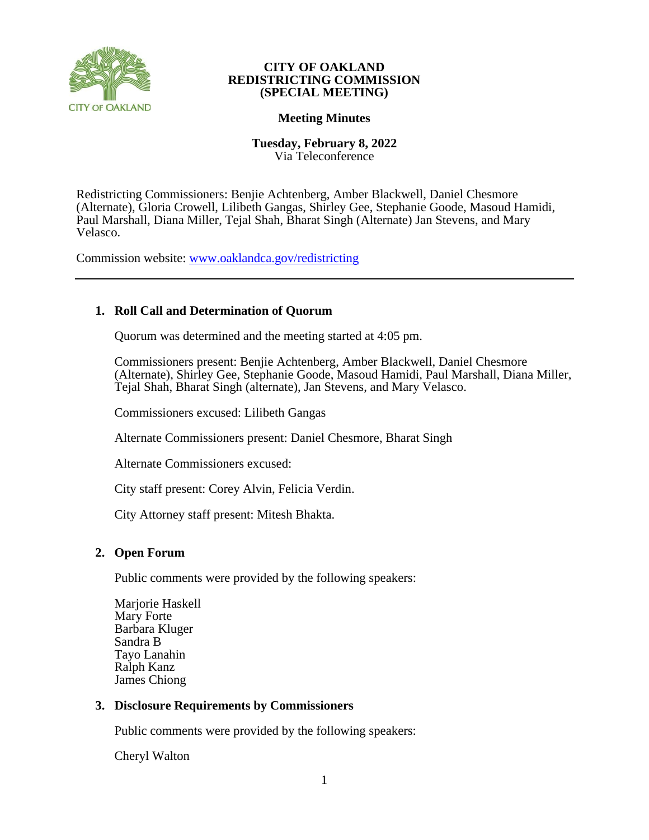

## **CITY OF OAKLAND REDISTRICTING COMMISSION (SPECIAL MEETING)**

# **Meeting Minutes**

### **Tuesday, February 8, 2022** Via Teleconference

Redistricting Commissioners: Benjie Achtenberg, Amber Blackwell, Daniel Chesmore (Alternate), Gloria Crowell, Lilibeth Gangas, Shirley Gee, Stephanie Goode, Masoud Hamidi, Paul Marshall, Diana Miller, Tejal Shah, Bharat Singh (Alternate) Jan Stevens, and Mary Velasco.

Commission website: [www.oaklandca.gov/redistricting](https://www.oaklandca.gov/boards-commissions/redistricting-commission/meetings)

# **1. Roll Call and Determination of Quorum**

Quorum was determined and the meeting started at 4:05 pm.

Commissioners present: Benjie Achtenberg, Amber Blackwell, Daniel Chesmore (Alternate), Shirley Gee, Stephanie Goode, Masoud Hamidi, Paul Marshall, Diana Miller, Tejal Shah, Bharat Singh (alternate), Jan Stevens, and Mary Velasco.

Commissioners excused: Lilibeth Gangas

Alternate Commissioners present: Daniel Chesmore, Bharat Singh

Alternate Commissioners excused:

City staff present: Corey Alvin, Felicia Verdin.

City Attorney staff present: Mitesh Bhakta.

## **2. Open Forum**

Public comments were provided by the following speakers:

Marjorie Haskell Mary Forte Barbara Kluger Sandra B Tayo Lanahin Ralph Kanz James Chiong

# **3. Disclosure Requirements by Commissioners**

Public comments were provided by the following speakers:

Cheryl Walton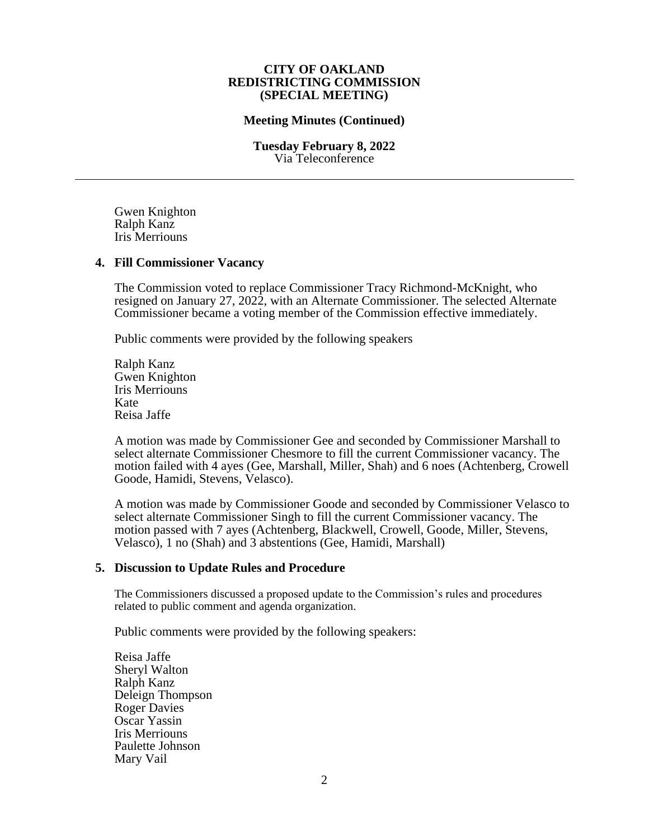#### **CITY OF OAKLAND REDISTRICTING COMMISSION (SPECIAL MEETING)**

### **Meeting Minutes (Continued)**

**Tuesday February 8, 2022** Via Teleconference

Gwen Knighton Ralph Kanz Iris Merriouns

#### **4. Fill Commissioner Vacancy**

The Commission voted to replace Commissioner Tracy Richmond-McKnight, who resigned on January 27, 2022, with an Alternate Commissioner. The selected Alternate Commissioner became a voting member of the Commission effective immediately.

Public comments were provided by the following speakers

Ralph Kanz Gwen Knighton Iris Merriouns Kate Reisa Jaffe

A motion was made by Commissioner Gee and seconded by Commissioner Marshall to select alternate Commissioner Chesmore to fill the current Commissioner vacancy. The motion failed with 4 ayes (Gee, Marshall, Miller, Shah) and 6 noes (Achtenberg, Crowell Goode, Hamidi, Stevens, Velasco).

A motion was made by Commissioner Goode and seconded by Commissioner Velasco to select alternate Commissioner Singh to fill the current Commissioner vacancy. The motion passed with 7 ayes (Achtenberg, Blackwell, Crowell, Goode, Miller, Stevens, Velasco), 1 no (Shah) and 3 abstentions (Gee, Hamidi, Marshall)

#### **5. Discussion to Update Rules and Procedure**

The Commissioners discussed a proposed update to the Commission's rules and procedures related to public comment and agenda organization.

Public comments were provided by the following speakers:

Reisa Jaffe Sheryl Walton Ralph Kanz Deleign Thompson Roger Davies Oscar Yassin Iris Merriouns Paulette Johnson Mary Vail